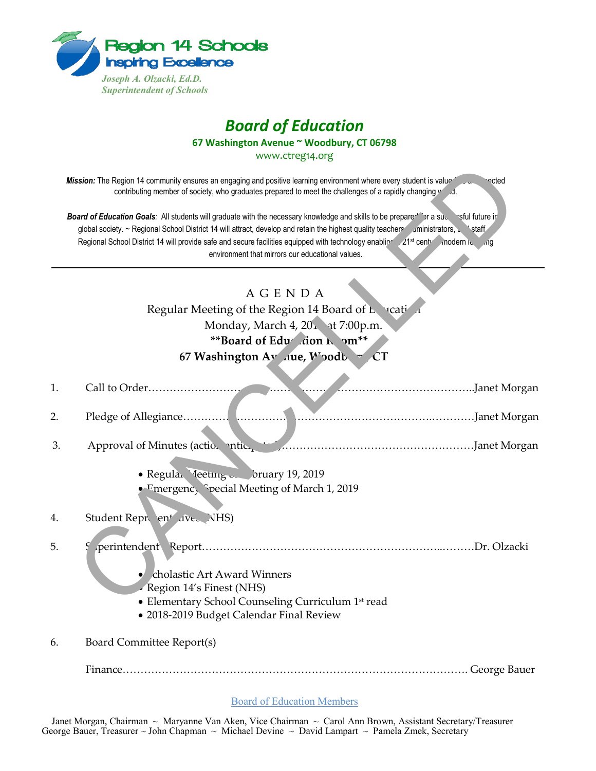

## *Board of Education*

**67 Washington Avenue ~ Woodbury, CT 06798**

www.ctreg14.org

## A G E N D A

|    | Mission: The Region 14 community ensures an engaging and positive learning environment where every student is value®<br>≌⊂cted<br>contributing member of society, who graduates prepared to meet the challenges of a rapidly changing weight<br>Board of Education Goals: All students will graduate with the necessary knowledge and skills to be prepare <sup>del</sup> or a sudependiture in<br>global society. ~ Regional School District 14 will attract, develop and retain the highest quality teachers aministrators, staff<br>Regional School District 14 will provide safe and secure facilities equipped with technology enabling 21 <sup>st</sup> centration odern is ang<br>environment that mirrors our educational values. |
|----|-------------------------------------------------------------------------------------------------------------------------------------------------------------------------------------------------------------------------------------------------------------------------------------------------------------------------------------------------------------------------------------------------------------------------------------------------------------------------------------------------------------------------------------------------------------------------------------------------------------------------------------------------------------------------------------------------------------------------------------------|
|    |                                                                                                                                                                                                                                                                                                                                                                                                                                                                                                                                                                                                                                                                                                                                           |
|    | <b>AGENDA</b>                                                                                                                                                                                                                                                                                                                                                                                                                                                                                                                                                                                                                                                                                                                             |
|    | Regular Meeting of the Region 14 Board of Landian                                                                                                                                                                                                                                                                                                                                                                                                                                                                                                                                                                                                                                                                                         |
|    | Monday, March 4, 201 at 7:00p.m.<br>**Board of Edu  ion N om**                                                                                                                                                                                                                                                                                                                                                                                                                                                                                                                                                                                                                                                                            |
|    | 67 Washington Av nue, Woodb CT                                                                                                                                                                                                                                                                                                                                                                                                                                                                                                                                                                                                                                                                                                            |
|    |                                                                                                                                                                                                                                                                                                                                                                                                                                                                                                                                                                                                                                                                                                                                           |
| 1. |                                                                                                                                                                                                                                                                                                                                                                                                                                                                                                                                                                                                                                                                                                                                           |
| 2. |                                                                                                                                                                                                                                                                                                                                                                                                                                                                                                                                                                                                                                                                                                                                           |
| 3. | Approval of Minutes (action antice of American Approval of Morgan                                                                                                                                                                                                                                                                                                                                                                                                                                                                                                                                                                                                                                                                         |
|    | • Regular Meeting Struary 19, 2019<br>• $F$ mergenc, Special Meeting of March 1, 2019                                                                                                                                                                                                                                                                                                                                                                                                                                                                                                                                                                                                                                                     |
| 4. | Student Repr ent ave. NHS)                                                                                                                                                                                                                                                                                                                                                                                                                                                                                                                                                                                                                                                                                                                |
| 5. | cholastic Art Award Winners                                                                                                                                                                                                                                                                                                                                                                                                                                                                                                                                                                                                                                                                                                               |
|    | Region 14's Finest (NHS)                                                                                                                                                                                                                                                                                                                                                                                                                                                                                                                                                                                                                                                                                                                  |
|    | • Elementary School Counseling Curriculum 1st read<br>· 2018-2019 Budget Calendar Final Review                                                                                                                                                                                                                                                                                                                                                                                                                                                                                                                                                                                                                                            |
| 6. | Board Committee Report(s)                                                                                                                                                                                                                                                                                                                                                                                                                                                                                                                                                                                                                                                                                                                 |
|    | George Bauer                                                                                                                                                                                                                                                                                                                                                                                                                                                                                                                                                                                                                                                                                                                              |

Board of Education Members

Janet Morgan, Chairman ~ Maryanne Van Aken, Vice Chairman ~ Carol Ann Brown, Assistant Secretary/Treasurer George Bauer, Treasurer ~ John Chapman ~ Michael Devine ~ David Lampart ~ Pamela Zmek, Secretary